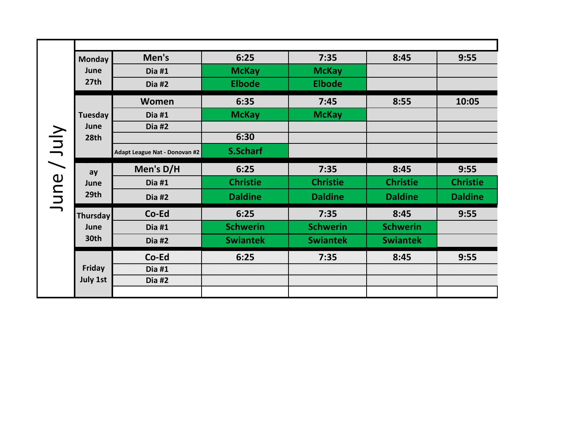|       | <b>Monday</b>                    | Men's                         | 6:25            | 7:35            | 8:45            | 9:55            |
|-------|----------------------------------|-------------------------------|-----------------|-----------------|-----------------|-----------------|
|       | June                             | <b>Dia #1</b>                 | <b>McKay</b>    | <b>McKay</b>    |                 |                 |
|       | 27th                             | <b>Dia #2</b>                 | <b>Elbode</b>   | <b>Elbode</b>   |                 |                 |
|       |                                  | Women                         | 6:35            | 7:45            | 8:55            | 10:05           |
|       | Tuesday                          | <b>Dia #1</b>                 | <b>McKay</b>    | <b>McKay</b>    |                 |                 |
|       | June                             | Dia #2                        |                 |                 |                 |                 |
|       | 28th                             |                               | 6:30            |                 |                 |                 |
| VJuly |                                  | Adapt League Nat - Donovan #2 | <b>S.Scharf</b> |                 |                 |                 |
| June  | ay<br>June<br>29th               | Men's D/H                     | 6:25            | 7:35            | 8:45            | 9:55            |
|       |                                  | <b>Dia #1</b>                 | <b>Christie</b> | <b>Christie</b> | <b>Christie</b> | <b>Christie</b> |
|       |                                  | <b>Dia #2</b>                 | <b>Daldine</b>  | <b>Daldine</b>  | <b>Daldine</b>  | <b>Daldine</b>  |
|       | <b>Thursday</b>                  | Co-Ed                         | 6:25            | 7:35            | 8:45            | 9:55            |
|       | June                             | <b>Dia #1</b>                 | <b>Schwerin</b> | <b>Schwerin</b> | <b>Schwerin</b> |                 |
|       | 30th                             | <b>Dia #2</b>                 | <b>Swiantek</b> | <b>Swiantek</b> | <b>Swiantek</b> |                 |
|       | <b>Friday</b><br><b>July 1st</b> | Co-Ed                         | 6:25            | 7:35            | 8:45            | 9:55            |
|       |                                  | <b>Dia #1</b>                 |                 |                 |                 |                 |
|       |                                  | <b>Dia #2</b>                 |                 |                 |                 |                 |
|       |                                  |                               |                 |                 |                 |                 |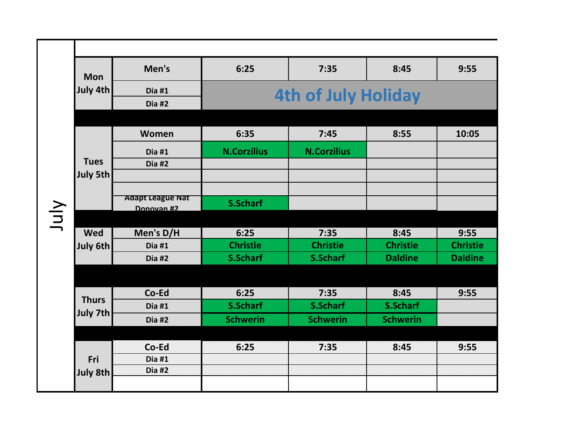|      | <b>Mon</b>   | Men's                   | 6:25                       | 7:35               | 8:45            | 9:55            |  |
|------|--------------|-------------------------|----------------------------|--------------------|-----------------|-----------------|--|
|      | July 4th     | Dia #1                  |                            |                    |                 |                 |  |
|      |              | Dia #2                  | <b>4th of July Holiday</b> |                    |                 |                 |  |
|      |              |                         |                            |                    |                 |                 |  |
|      |              | Women                   | 6:35                       | 7:45               | 8:55            | 10:05           |  |
|      |              | Dia#1                   | <b>N.Corzilius</b>         | <b>N.Corzilius</b> |                 |                 |  |
|      | <b>Tues</b>  | $Dia$ #2                |                            |                    |                 |                 |  |
|      | July 5th     |                         |                            |                    |                 |                 |  |
|      |              | <b>Adapt League Nat</b> |                            |                    |                 |                 |  |
| July |              | Donovan #2              | <b>S.Scharf</b>            |                    |                 |                 |  |
|      |              |                         |                            |                    |                 |                 |  |
|      | <b>Wed</b>   | Men's D/H               | 6:25                       | 7:35               | 8:45            | 9:55            |  |
|      | July 6th     | Dia#1                   | <b>Christie</b>            | <b>Christie</b>    | <b>Christie</b> | <b>Christie</b> |  |
|      |              | Dia #2                  | <b>S.Scharf</b>            | <b>S.Scharf</b>    | <b>Daldine</b>  | <b>Daldine</b>  |  |
|      |              |                         |                            |                    |                 |                 |  |
|      | <b>Thurs</b> | Co-Ed                   | 6:25                       | 7:35               | 8:45            | 9:55            |  |
|      | July 7th     | Dia#1                   | <b>S.Scharf</b>            | <b>S.Scharf</b>    | <b>S.Scharf</b> |                 |  |
|      |              | Dia #2                  | <b>Schwerin</b>            | <b>Schwerin</b>    | <b>Schwerin</b> |                 |  |
|      |              |                         |                            |                    |                 |                 |  |
|      |              | Co-Ed                   | 6:25                       | 7:35               | 8:45            | 9:55            |  |
|      | Fri          | Dia #1                  |                            |                    |                 |                 |  |
|      | July 8th     | Dia #2                  |                            |                    |                 |                 |  |
|      |              |                         |                            |                    |                 |                 |  |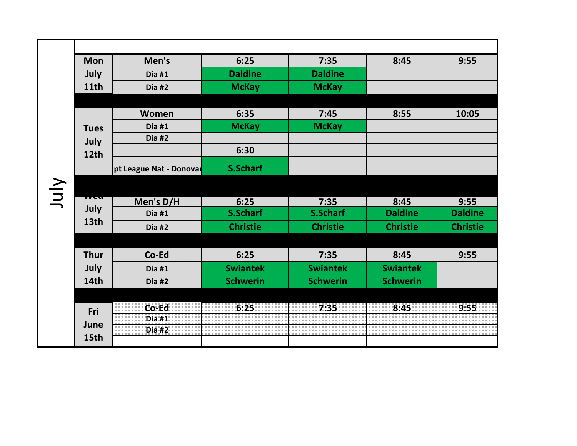|     | <b>Mon</b>  | Men's                   | 6:25            | 7:35            | 8:45            | 9:55            |
|-----|-------------|-------------------------|-----------------|-----------------|-----------------|-----------------|
|     | July        | Dia #1                  | <b>Daldine</b>  | <b>Daldine</b>  |                 |                 |
|     | <b>11th</b> | Dia #2                  | <b>McKay</b>    | <b>McKay</b>    |                 |                 |
|     |             |                         |                 |                 |                 |                 |
|     | <b>Tues</b> | Women                   | 6:35            | 7:45            | 8:55            | 10:05           |
|     |             | Dia #1                  | <b>McKay</b>    | <b>McKay</b>    |                 |                 |
|     | July        | Dia #2                  |                 |                 |                 |                 |
|     | 12th        |                         | 6:30            |                 |                 |                 |
|     |             | pt League Nat - Donovar | <b>S.Scharf</b> |                 |                 |                 |
| VIN |             |                         |                 |                 |                 |                 |
|     |             | Men's D/H               | 6:25            | 7:35            | 8:45            | 9:55            |
|     | July        | Dia $#1$                | <b>S.Scharf</b> | <b>S.Scharf</b> | <b>Daldine</b>  | <b>Daldine</b>  |
|     | 13th        | Dia #2                  | <b>Christie</b> | <b>Christie</b> | <b>Christie</b> | <b>Christie</b> |
|     |             |                         |                 |                 |                 |                 |
|     | <b>Thur</b> | Co-Ed                   | 6:25            | 7:35            | 8:45            | 9:55            |
|     | July        | Dia $#1$                | <b>Swiantek</b> | <b>Swiantek</b> | <b>Swiantek</b> |                 |
|     | 14th        | Dia #2                  | <b>Schwerin</b> | <b>Schwerin</b> | <b>Schwerin</b> |                 |
|     |             |                         |                 |                 |                 |                 |
|     | Fri         | Co-Ed                   | 6:25            | 7:35            | 8:45            | 9:55            |
|     | June        | <b>Dia #1</b>           |                 |                 |                 |                 |
|     |             | Dia #2                  |                 |                 |                 |                 |
|     | 15th        |                         |                 |                 |                 |                 |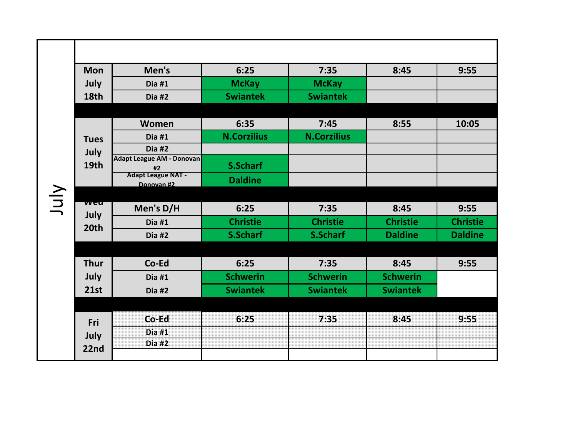|      | <b>Mon</b>   | Men's                                  | 6:25               | 7:35               | 8:45            | 9:55            |
|------|--------------|----------------------------------------|--------------------|--------------------|-----------------|-----------------|
|      | July         | Dia #1                                 | <b>McKay</b>       | <b>McKay</b>       |                 |                 |
|      | 18th         | Dia #2                                 | <b>Swiantek</b>    | <b>Swiantek</b>    |                 |                 |
|      |              |                                        |                    |                    |                 |                 |
|      | <b>Tues</b>  | Women                                  | 6:35               | 7:45               | 8:55            | 10:05           |
|      |              | Dia#1                                  | <b>N.Corzilius</b> | <b>N.Corzilius</b> |                 |                 |
|      | July         | Dia $#2$                               |                    |                    |                 |                 |
|      | 19th         | <b>Adapt League AM - Donovan</b><br>#2 | S.Scharf           |                    |                 |                 |
|      |              | <b>Adapt League NAT -</b>              | <b>Daldine</b>     |                    |                 |                 |
|      |              | Donovan #2                             |                    |                    |                 |                 |
| July | <u>vveu</u>  | Men's D/H                              | 6:25               | 7:35               | 8:45            | 9:55            |
|      | July<br>20th | Dia #1                                 | <b>Christie</b>    | <b>Christie</b>    | <b>Christie</b> | <b>Christie</b> |
|      |              | Dia #2                                 | <b>S.Scharf</b>    | S.Scharf           | <b>Daldine</b>  | <b>Daldine</b>  |
|      |              |                                        |                    |                    |                 |                 |
|      | <b>Thur</b>  | Co-Ed                                  | 6:25               | 7:35               | 8:45            | 9:55            |
|      | July         | Dia #1                                 | <b>Schwerin</b>    | <b>Schwerin</b>    | <b>Schwerin</b> |                 |
|      | <b>21st</b>  | Dia #2                                 | <b>Swiantek</b>    | <b>Swiantek</b>    | <b>Swiantek</b> |                 |
|      |              |                                        |                    |                    |                 |                 |
|      | Fri          | Co-Ed                                  | 6:25               | 7:35               | 8:45            | 9:55            |
|      | July         | Dia #1                                 |                    |                    |                 |                 |
|      | 22nd         | Dia #2                                 |                    |                    |                 |                 |
|      |              |                                        |                    |                    |                 |                 |